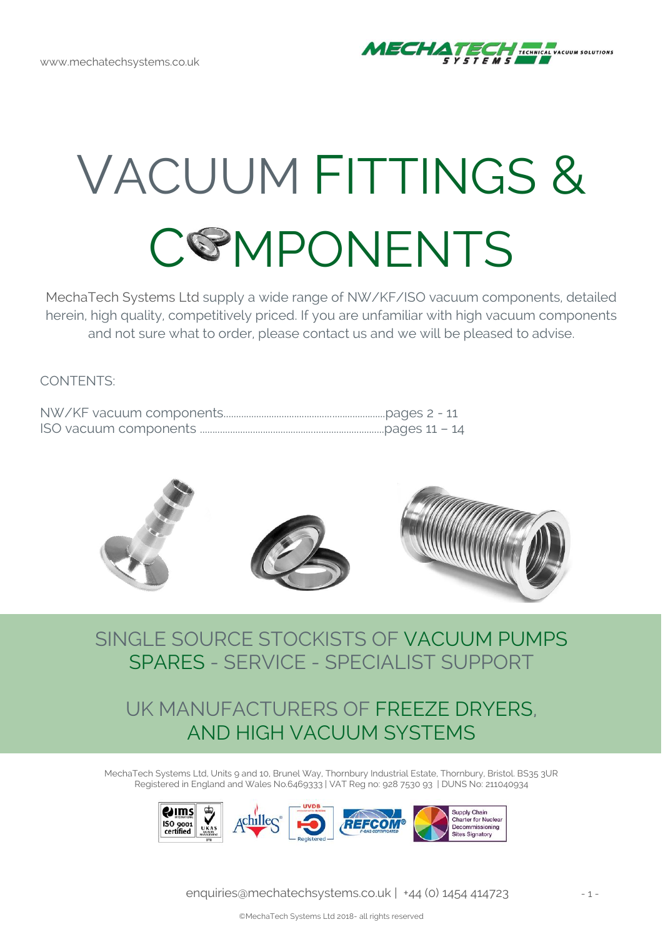

# VACUUM FITTINGS & **COMPONENTS**

MechaTech Systems Ltd supply a wide range of NW/KF/ISO vacuum components, detailed herein, high quality, competitively priced. If you are unfamiliar with high vacuum components and not sure what to order, please contact us and we will be pleased to advise.

CONTENTS:



### SINGLE SOURCE STOCKISTS OF VACUUM PUMPS SPARES - SERVICE - SPECIALIST SUPPORT

### UK MANUFACTURERS OF FREEZE DRYERS, AND HIGH VACUUM SYSTEMS

MechaTech Systems Ltd, Units 9 and 10, Brunel Way, Thornbury Industrial Estate, Thornbury, Bristol. BS35 3UR Registered in England and Wales No.6469333 | VAT Reg no: 928 7530 93 | DUNS No: 211040934

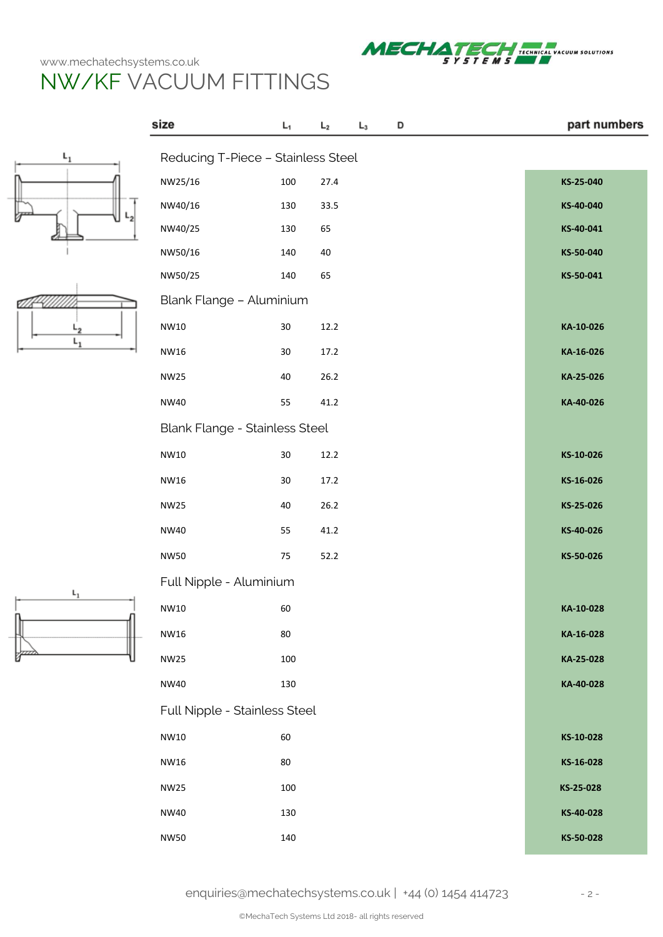size

Reducing T-Piece – Stainless Steel

 $\mathsf{L}_1$ 



part numbers



Ø  $L_{2}$  $L_1$ 

| NW25/16                        | 100    | 27.4 | KS-25-040 |
|--------------------------------|--------|------|-----------|
| NW40/16                        | 130    | 33.5 | KS-40-040 |
| NW40/25                        | 130    | 65   | KS-40-041 |
| NW50/16                        | 140    | 40   | KS-50-040 |
| NW50/25                        | 140    | 65   | KS-50-041 |
| Blank Flange - Aluminium       |        |      |           |
| NW10                           | $30\,$ | 12.2 | KA-10-026 |
| NW16                           | 30     | 17.2 | KA-16-026 |
| <b>NW25</b>                    | 40     | 26.2 | KA-25-026 |
| NW40                           | 55     | 41.2 | KA-40-026 |
| Blank Flange - Stainless Steel |        |      |           |
| NW10                           | $30\,$ | 12.2 | KS-10-026 |
| NW16                           | 30     | 17.2 | KS-16-026 |
| NW25                           | 40     | 26.2 | KS-25-026 |
| NW40                           | 55     | 41.2 | KS-40-026 |
| NW50                           | 75     | 52.2 | KS-50-026 |
| Full Nipple - Aluminium        |        |      |           |
| NW10                           | 60     |      | KA-10-028 |
| NW16                           | 80     |      | KA-16-028 |
| <b>NW25</b>                    | 100    |      | KA-25-028 |
| NW40                           | 130    |      | KA-40-028 |
| Full Nipple - Stainless Steel  |        |      |           |
| NW10                           | 60     |      | KS-10-028 |
| NW16                           | 80     |      | KS-16-028 |
| NW25                           | 100    |      | KS-25-028 |
| NW40                           | 130    |      | KS-40-028 |
| NW50                           | 140    |      | KS-50-028 |
|                                |        |      |           |

 $\mathsf{L}_3$ 

D

 $\mathsf{L}_2$ 

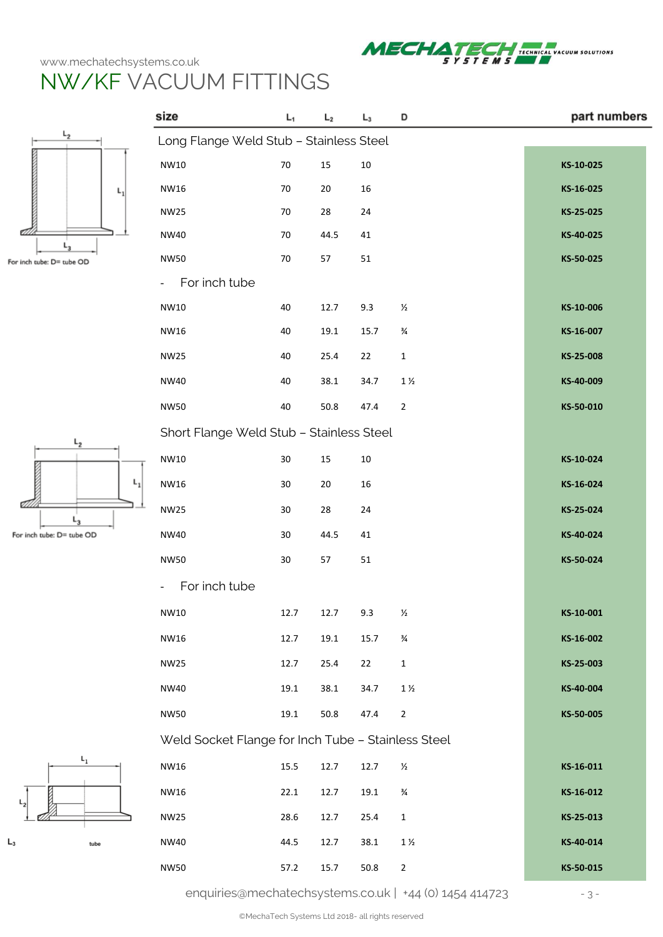

part numbers

# NW/KF VACUUM FITTINGS

size



 $\mathsf{L}_3$ 

For inch tube: D= tube OD

| -2               | Long Flange Weld Stub - Stainless Steel            |          |        |        |                |           |
|------------------|----------------------------------------------------|----------|--------|--------|----------------|-----------|
|                  | NW10                                               | $70\,$   | 15     | $10\,$ |                | KS-10-025 |
| L,               | <b>NW16</b>                                        | $70\,$   | $20\,$ | $16\,$ |                | KS-16-025 |
|                  | <b>NW25</b>                                        | 70       | 28     | 24     |                | KS-25-025 |
|                  | <b>NW40</b>                                        | 70       | 44.5   | 41     |                | KS-40-025 |
| be: D= tube OD   | <b>NW50</b>                                        | 70       | 57     | 51     |                | KS-50-025 |
|                  | For inch tube                                      |          |        |        |                |           |
|                  | NW10                                               | 40       | 12.7   | 9.3    | $\frac{1}{2}$  | KS-10-006 |
|                  | <b>NW16</b>                                        | 40       | 19.1   | 15.7   | $\frac{3}{4}$  | KS-16-007 |
|                  | <b>NW25</b>                                        | 40       | 25.4   | 22     | $\mathbf 1$    | KS-25-008 |
|                  | <b>NW40</b>                                        | 40       | 38.1   | 34.7   | $1\,\%$        | KS-40-009 |
|                  | <b>NW50</b>                                        | 40       | 50.8   | 47.4   | $\overline{2}$ | KS-50-010 |
| $L_{2}$          | Short Flange Weld Stub - Stainless Steel           |          |        |        |                |           |
|                  | NW10                                               | $30\,$   | $15\,$ | $10\,$ |                | KS-10-024 |
| $L_1$            | <b>NW16</b>                                        | 30       | $20\,$ | 16     |                | KS-16-024 |
| $L_3$            | <b>NW25</b>                                        | 30       | 28     | 24     |                | KS-25-024 |
| tube: D= tube OD | <b>NW40</b>                                        | $30\,$   | 44.5   | 41     |                | KS-40-024 |
|                  | <b>NW50</b>                                        | $30\,$   | 57     | 51     |                | KS-50-024 |
|                  | For inch tube                                      |          |        |        |                |           |
|                  | NW10                                               | 12.7     | 12.7   | 9.3    | $\frac{1}{2}$  | KS-10-001 |
|                  | NW16                                               | 12.7     | 19.1   | 15.7   | $\frac{3}{4}$  | KS-16-002 |
|                  | <b>NW25</b>                                        | 12.7     | 25.4   | 22     | $\mathbf 1$    | KS-25-003 |
|                  | <b>NW40</b>                                        | $19.1\,$ | 38.1   | 34.7   | $1\,\%$        | KS-40-004 |
|                  | <b>NW50</b>                                        | 19.1     | 50.8   | 47.4   | $\overline{2}$ | KS-50-005 |
|                  | Weld Socket Flange for Inch Tube - Stainless Steel |          |        |        |                |           |
| $L_1$            | NW16                                               | 15.5     | 12.7   | 12.7   | $\frac{1}{2}$  | KS-16-011 |
|                  | NW16                                               | 22.1     | 12.7   | 19.1   | $\frac{3}{4}$  | KS-16-012 |
|                  | <b>NW25</b>                                        | 28.6     | 12.7   | 25.4   | $\mathbf{1}$   | KS-25-013 |
| tube             | <b>NW40</b>                                        | 44.5     | 12.7   | 38.1   | $1\,\%$        | KS-40-014 |
|                  | <b>NW50</b>                                        | 57.2     | 15.7   | 50.8   | $\mathbf 2$    | KS-50-015 |
|                  |                                                    |          |        |        |                |           |

 $\mathsf{L}_3$ 

 $L<sub>2</sub>$ 

 $L_1$ 

D

[enquiries@mechatechsystems.co.uk](mailto:enquiries@mechatechsystems.co.uk) | +44 (0) 1454 414723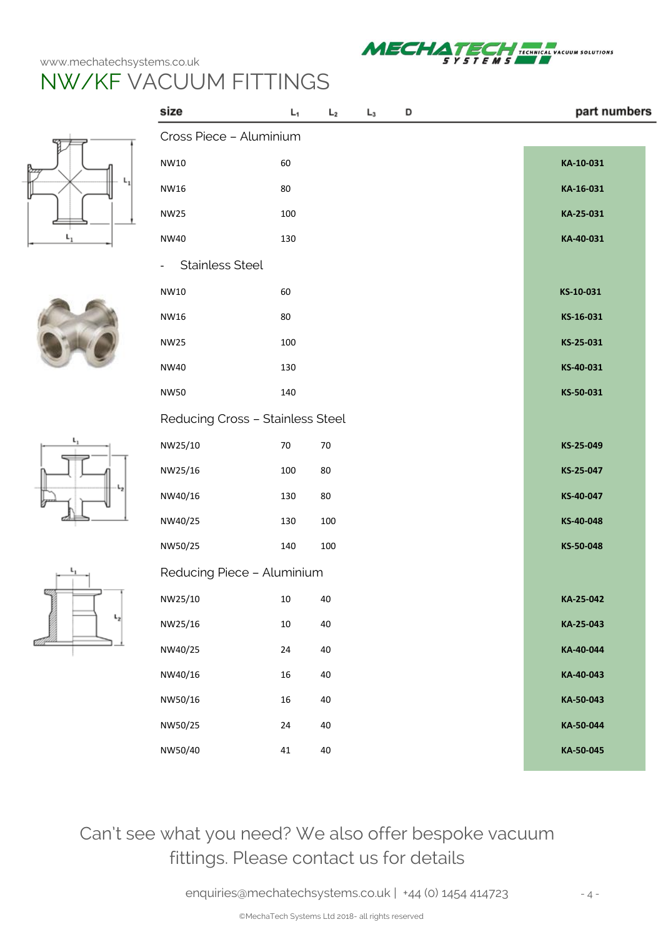

# NW/KF VACUUM FITTINGS

 $\overline{a}$ 









|         | size                             | $L_1$  | L <sub>2</sub> | $L_3$ | D | part numbers |  |
|---------|----------------------------------|--------|----------------|-------|---|--------------|--|
|         | Cross Piece - Aluminium          |        |                |       |   |              |  |
|         | NW10                             | 60     |                |       |   | KA-10-031    |  |
|         | <b>NW16</b>                      | $80\,$ |                |       |   | KA-16-031    |  |
|         | <b>NW25</b>                      | 100    |                |       |   | KA-25-031    |  |
| $L_1$   | <b>NW40</b>                      | 130    |                |       |   | KA-40-031    |  |
|         | <b>Stainless Steel</b>           |        |                |       |   |              |  |
|         | NW10                             | 60     |                |       |   | KS-10-031    |  |
|         | <b>NW16</b>                      | $80\,$ |                |       |   | KS-16-031    |  |
|         | <b>NW25</b>                      | 100    |                |       |   | KS-25-031    |  |
|         | <b>NW40</b>                      | 130    |                |       |   | KS-40-031    |  |
|         | <b>NW50</b>                      | 140    |                |       |   | KS-50-031    |  |
|         | Reducing Cross - Stainless Steel |        |                |       |   |              |  |
|         | NW25/10                          | $70\,$ | $70\,$         |       |   | KS-25-049    |  |
|         | NW25/16                          | 100    | 80             |       |   | KS-25-047    |  |
| ļ       | NW40/16                          | 130    | 80             |       |   | KS-40-047    |  |
|         | NW40/25                          | 130    | 100            |       |   | KS-40-048    |  |
|         | NW50/25                          | 140    | 100            |       |   | KS-50-048    |  |
|         | Reducing Piece - Aluminium       |        |                |       |   |              |  |
|         | NW25/10                          | 10     | 40             |       |   | KA-25-042    |  |
| $L_{2}$ | NW25/16                          | $10\,$ | $40\,$         |       |   | KA-25-043    |  |
|         | NW40/25                          | $24\,$ | $40\,$         |       |   | KA-40-044    |  |
|         | NW40/16                          | $16\,$ | $40\,$         |       |   | KA-40-043    |  |
|         | NW50/16                          | $16\,$ | $40\,$         |       |   | KA-50-043    |  |
|         | NW50/25                          | $24\,$ | $40\,$         |       |   | KA-50-044    |  |
|         | NW50/40                          | $41\,$ | 40             |       |   | KA-50-045    |  |

### Can't see what you need? We also offer bespoke vacuum fittings. Please contact us for details

[enquiries@mechatechsystems.co.uk](mailto:enquiries@mechatechsystems.co.uk) | +44 (0) 1454 414723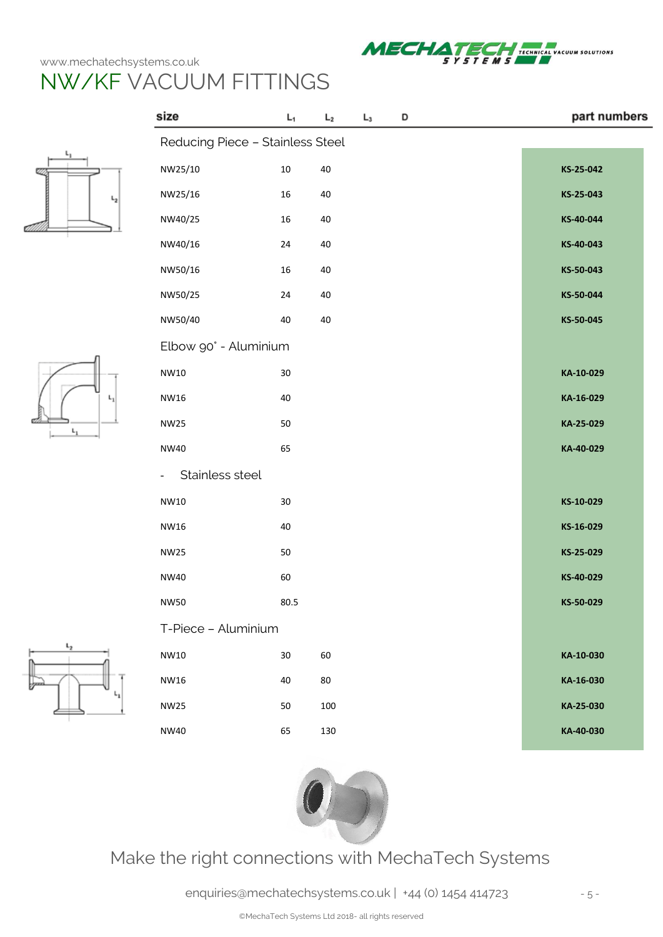size



part numbers



|                | Reducing Piece - Stainless Steel  |        |        |           |  |  |  |  |
|----------------|-----------------------------------|--------|--------|-----------|--|--|--|--|
|                | NW25/10                           | $10\,$ | 40     | KS-25-042 |  |  |  |  |
| $\mathsf{L}_2$ | NW25/16                           | $16\,$ | 40     | KS-25-043 |  |  |  |  |
|                | NW40/25                           | 16     | 40     | KS-40-044 |  |  |  |  |
|                | NW40/16                           | $24\,$ | $40\,$ | KS-40-043 |  |  |  |  |
|                | NW50/16                           | 16     | $40\,$ | KS-50-043 |  |  |  |  |
|                | NW50/25                           | 24     | $40\,$ | KS-50-044 |  |  |  |  |
|                | NW50/40                           | 40     | 40     | KS-50-045 |  |  |  |  |
|                | Elbow 90° - Aluminium             |        |        |           |  |  |  |  |
|                | NW10                              | $30\,$ |        | KA-10-029 |  |  |  |  |
| $L_1$          | NW16                              | 40     |        | KA-16-029 |  |  |  |  |
| $L_1$          | <b>NW25</b>                       | 50     |        | KA-25-029 |  |  |  |  |
|                | <b>NW40</b>                       | 65     |        | KA-40-029 |  |  |  |  |
|                | Stainless steel<br>$\blacksquare$ |        |        |           |  |  |  |  |
|                | NW10                              | 30     |        | KS-10-029 |  |  |  |  |
|                | NW16                              | 40     |        | KS-16-029 |  |  |  |  |
|                | <b>NW25</b>                       | 50     |        | KS-25-029 |  |  |  |  |
|                | <b>NW40</b>                       | 60     |        | KS-40-029 |  |  |  |  |
|                | <b>NW50</b>                       | 80.5   |        | KS-50-029 |  |  |  |  |
|                | T-Piece - Aluminium               |        |        |           |  |  |  |  |
| $L_2$          | NW10                              | 30     | 60     | KA-10-030 |  |  |  |  |
| ւ,             | NW16                              | 40     | $80\,$ | KA-16-030 |  |  |  |  |
|                | <b>NW25</b>                       | 50     | 100    | KA-25-030 |  |  |  |  |
|                | <b>NW40</b>                       | 65     | 130    | KA-40-030 |  |  |  |  |

 $L_3$ 

 $\mathsf{L}_2$ 

 $L_1$ 

D



Make the right connections with MechaTech Systems

[enquiries@mechatechsystems.co.uk](mailto:enquiries@mechatechsystems.co.uk) | +44 (0) 1454 414723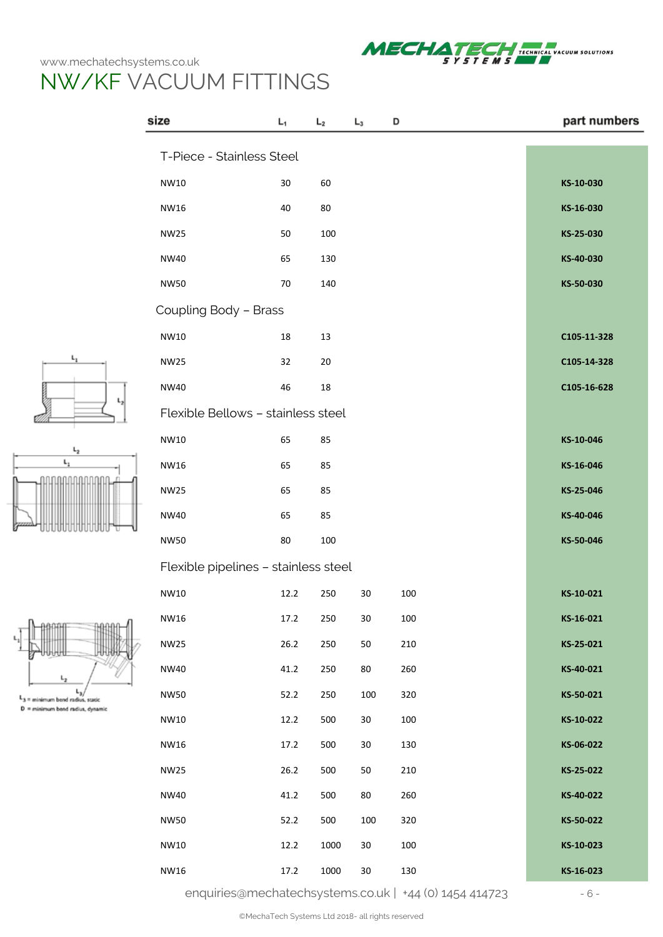$L_1$ 



|                                     | size                                 | $L_1$  | L <sub>2</sub> | $L_3$  | D   | part numbers |
|-------------------------------------|--------------------------------------|--------|----------------|--------|-----|--------------|
|                                     | T-Piece - Stainless Steel            |        |                |        |     |              |
|                                     | NW10                                 | $30\,$ | 60             |        |     | KS-10-030    |
|                                     | NW16                                 | $40\,$ | 80             |        |     | KS-16-030    |
|                                     | <b>NW25</b>                          | 50     | 100            |        |     | KS-25-030    |
|                                     | NW40                                 | 65     | 130            |        |     | KS-40-030    |
|                                     | <b>NW50</b>                          | 70     | 140            |        |     | KS-50-030    |
|                                     | Coupling Body - Brass                |        |                |        |     |              |
|                                     | NW10                                 | $18\,$ | $13\,$         |        |     | C105-11-328  |
| ι,                                  | <b>NW25</b>                          | 32     | 20             |        |     | C105-14-328  |
|                                     | <b>NW40</b>                          | 46     | $18\,$         |        |     | C105-16-628  |
|                                     | Flexible Bellows - stainless steel   |        |                |        |     |              |
| $L_{2}$                             | NW10                                 | 65     | 85             |        |     | KS-10-046    |
| $\mathsf{L}_1$                      | NW16                                 | 65     | 85             |        |     | KS-16-046    |
|                                     | <b>NW25</b>                          | 65     | 85             |        |     | KS-25-046    |
|                                     | <b>NW40</b>                          | 65     | 85             |        |     | KS-40-046    |
|                                     | <b>NW50</b>                          | 80     | 100            |        |     | KS-50-046    |
|                                     | Flexible pipelines - stainless steel |        |                |        |     |              |
|                                     | NW10                                 | 12.2   | 250            | 30     | 100 | KS-10-021    |
|                                     | NW16                                 | 17.2   | 250            | 30     | 100 | KS-16-021    |
|                                     | <b>NW25</b>                          | 26.2   | 250            | 50     | 210 | KS-25-021    |
| L <sub>2</sub>                      | <b>NW40</b>                          | 41.2   | 250            | 80     | 260 | KS-40-021    |
| $L_3$ = minimum bend radius, static | <b>NW50</b>                          | 52.2   | 250            | 100    | 320 | KS-50-021    |
| D = minimum band radius, dynamic    | NW10                                 | 12.2   | 500            | $30\,$ | 100 | KS-10-022    |
|                                     | NW16                                 | 17.2   | 500            | $30\,$ | 130 | KS-06-022    |
|                                     | <b>NW25</b>                          | 26.2   | 500            | $50\,$ | 210 | KS-25-022    |
|                                     | <b>NW40</b>                          | 41.2   | 500            | 80     | 260 | KS-40-022    |
|                                     | <b>NW50</b>                          | 52.2   | 500            | 100    | 320 | KS-50-022    |
|                                     | NW10                                 | 12.2   | 1000           | $30\,$ | 100 | KS-10-023    |
|                                     | NW16                                 | 17.2   | 1000           | $30\,$ | 130 | KS-16-023    |

[enquiries@mechatechsystems.co.uk](mailto:enquiries@mechatechsystems.co.uk) | +44 (0) 1454 414723 - 6 -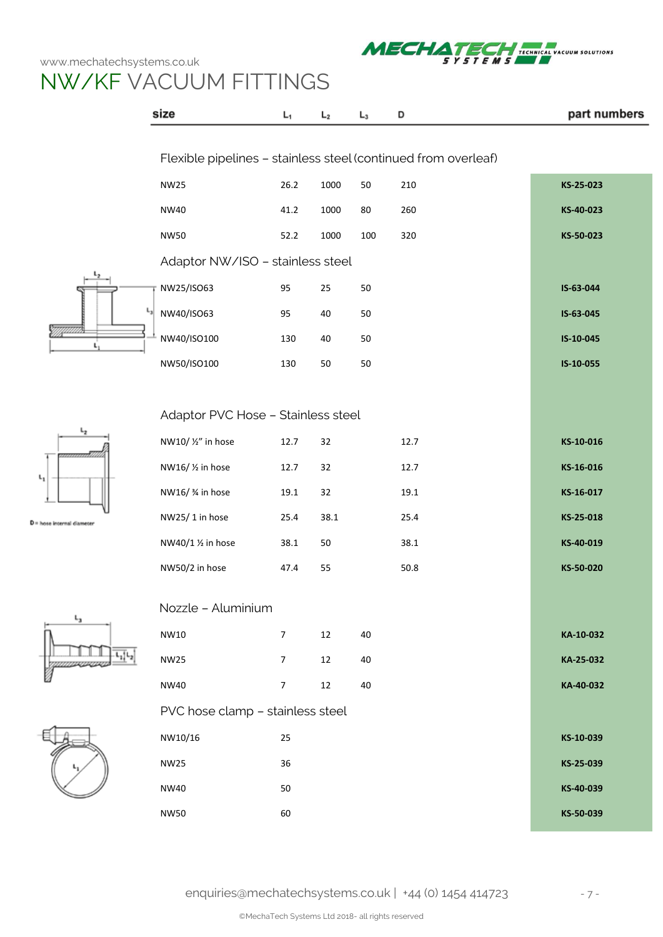

# NW/KF VACUUM FITTINGS

|                        | size                               | $L_1$                                                          | L <sub>2</sub> | $L_3$ | D        | part numbers |  |  |  |  |  |  |
|------------------------|------------------------------------|----------------------------------------------------------------|----------------|-------|----------|--------------|--|--|--|--|--|--|
|                        |                                    |                                                                |                |       |          |              |  |  |  |  |  |  |
|                        |                                    | Flexible pipelines - stainless steel (continued from overleaf) |                |       |          |              |  |  |  |  |  |  |
|                        | <b>NW25</b>                        | 26.2                                                           | 1000           | 50    | 210      | KS-25-023    |  |  |  |  |  |  |
|                        | <b>NW40</b>                        | 41.2                                                           | 1000           | 80    | 260      | KS-40-023    |  |  |  |  |  |  |
|                        | <b>NW50</b>                        | 52.2                                                           | 1000           | 100   | 320      | KS-50-023    |  |  |  |  |  |  |
|                        | Adaptor NW/ISO - stainless steel   |                                                                |                |       |          |              |  |  |  |  |  |  |
|                        | NW25/ISO63                         | 95                                                             | 25             | 50    |          | IS-63-044    |  |  |  |  |  |  |
|                        | $\sqrt{\frac{L_3}{2}}$ NW40/ISO63  | 95                                                             | 40             | 50    |          | IS-63-045    |  |  |  |  |  |  |
|                        | NW40/ISO100                        | 130                                                            | 40             | 50    |          | IS-10-045    |  |  |  |  |  |  |
|                        | NW50/ISO100                        | 130                                                            | 50             | 50    |          | IS-10-055    |  |  |  |  |  |  |
|                        |                                    |                                                                |                |       |          |              |  |  |  |  |  |  |
|                        | Adaptor PVC Hose - Stainless steel |                                                                |                |       |          |              |  |  |  |  |  |  |
| ı,                     | NW10/ 1/2" in hose                 | 12.7                                                           | 32             |       | 12.7     | KS-10-016    |  |  |  |  |  |  |
|                        | NW16/ 1/2 in hose                  | 12.7                                                           | 32             |       | 12.7     | KS-16-016    |  |  |  |  |  |  |
|                        | NW16/ % in hose                    | 19.1                                                           | 32             |       | $19.1\,$ | KS-16-017    |  |  |  |  |  |  |
| hose internal diameter | NW25/1 in hose                     | 25.4                                                           | 38.1           |       | 25.4     | KS-25-018    |  |  |  |  |  |  |
|                        | NW40/1 1/2 in hose                 | 38.1                                                           | 50             |       | 38.1     | KS-40-019    |  |  |  |  |  |  |
|                        | NW50/2 in hose                     | 47.4                                                           | 55             |       | 50.8     | KS-50-020    |  |  |  |  |  |  |
|                        |                                    |                                                                |                |       |          |              |  |  |  |  |  |  |
| L <sub>3</sub>         | Nozzle - Aluminium                 |                                                                |                |       |          |              |  |  |  |  |  |  |
|                        | NW10                               | $\overline{7}$                                                 | 12             | 40    |          | KA-10-032    |  |  |  |  |  |  |
|                        | <b>NW25</b>                        | $\overline{7}$                                                 | 12             | 40    |          | KA-25-032    |  |  |  |  |  |  |
|                        | <b>NW40</b>                        | $\overline{7}$                                                 | 12             | 40    |          | KA-40-032    |  |  |  |  |  |  |
|                        | PVC hose clamp - stainless steel   |                                                                |                |       |          |              |  |  |  |  |  |  |
|                        | NW10/16                            | 25                                                             |                |       |          | KS-10-039    |  |  |  |  |  |  |
|                        | <b>NW25</b>                        | 36                                                             |                |       |          | KS-25-039    |  |  |  |  |  |  |
|                        | <b>NW40</b>                        | 50                                                             |                |       |          | KS-40-039    |  |  |  |  |  |  |
|                        | <b>NW50</b>                        | 60                                                             |                |       |          | KS-50-039    |  |  |  |  |  |  |







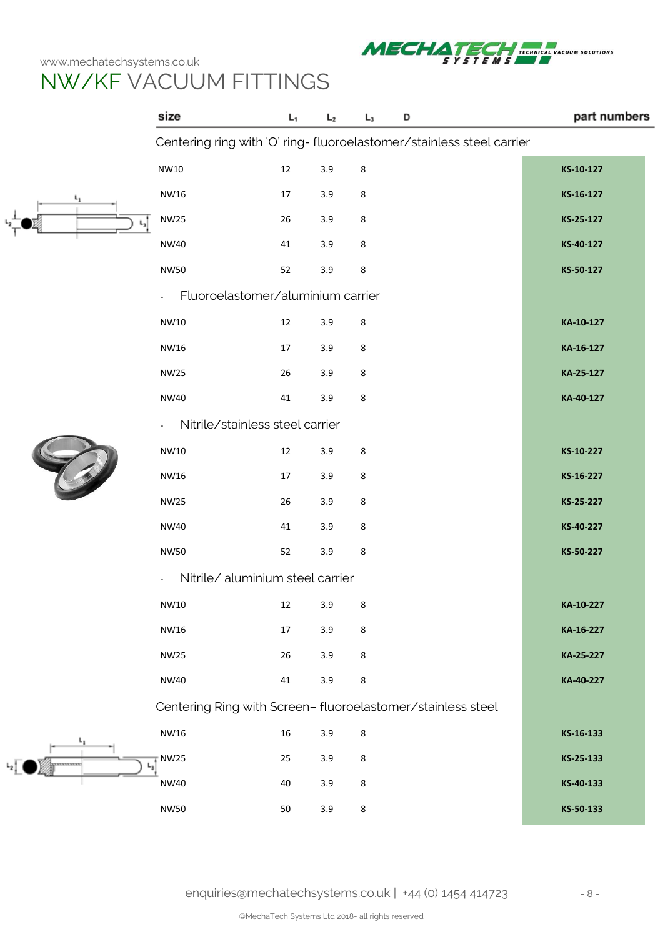

# NW/KF VACUUM FITTINGS

|            | size                                                                  | L,     | L <sub>2</sub> | $L_3$ | D | part numbers |  |  |  |
|------------|-----------------------------------------------------------------------|--------|----------------|-------|---|--------------|--|--|--|
|            | Centering ring with 'O' ring- fluoroelastomer/stainless steel carrier |        |                |       |   |              |  |  |  |
|            | NW10                                                                  | 12     | 3.9            | 8     |   | KS-10-127    |  |  |  |
|            | NW16                                                                  | 17     | 3.9            | 8     |   | KS-16-127    |  |  |  |
|            | <b>NW25</b>                                                           | 26     | 3.9            | 8     |   | KS-25-127    |  |  |  |
|            | <b>NW40</b>                                                           | 41     | 3.9            | 8     |   | KS-40-127    |  |  |  |
|            | <b>NW50</b>                                                           | 52     | 3.9            | 8     |   | KS-50-127    |  |  |  |
|            | Fluoroelastomer/aluminium carrier<br>$\overline{\phantom{a}}$         |        |                |       |   |              |  |  |  |
|            | NW10                                                                  | $12\,$ | 3.9            | 8     |   | KA-10-127    |  |  |  |
|            | NW16                                                                  | 17     | 3.9            | 8     |   | KA-16-127    |  |  |  |
|            | <b>NW25</b>                                                           | 26     | 3.9            | 8     |   | KA-25-127    |  |  |  |
|            | <b>NW40</b>                                                           | 41     | 3.9            | 8     |   | KA-40-127    |  |  |  |
|            | Nitrile/stainless steel carrier                                       |        |                |       |   |              |  |  |  |
|            | NW10                                                                  | 12     | 3.9            | 8     |   | KS-10-227    |  |  |  |
|            | NW16                                                                  | 17     | 3.9            | 8     |   | KS-16-227    |  |  |  |
|            | <b>NW25</b>                                                           | 26     | 3.9            | 8     |   | KS-25-227    |  |  |  |
|            | NW40                                                                  | 41     | 3.9            | 8     |   | KS-40-227    |  |  |  |
|            | <b>NW50</b>                                                           | 52     | 3.9            | 8     |   | KS-50-227    |  |  |  |
|            | Nitrile/ aluminium steel carrier<br>$\frac{1}{2}$                     |        |                |       |   |              |  |  |  |
|            | NW10                                                                  | 12     | 3.9            | 8     |   | KA-10-227    |  |  |  |
|            | NW16                                                                  | 17     | 3.9            | 8     |   | KA-16-227    |  |  |  |
|            | <b>NW25</b>                                                           | 26     | 3.9            | 8     |   | KA-25-227    |  |  |  |
|            | <b>NW40</b>                                                           | 41     | 3.9            | 8     |   | KA-40-227    |  |  |  |
|            | Centering Ring with Screen- fluoroelastomer/stainless steel           |        |                |       |   |              |  |  |  |
|            | NW16                                                                  | $16\,$ | 3.9            | 8     |   | KS-16-133    |  |  |  |
| ********** | <b>NW25</b>                                                           | 25     | 3.9            | 8     |   | KS-25-133    |  |  |  |
|            | NW40                                                                  | 40     | 3.9            | 8     |   | KS-40-133    |  |  |  |
|            | <b>NW50</b>                                                           | $50\,$ | 3.9            | 8     |   | KS-50-133    |  |  |  |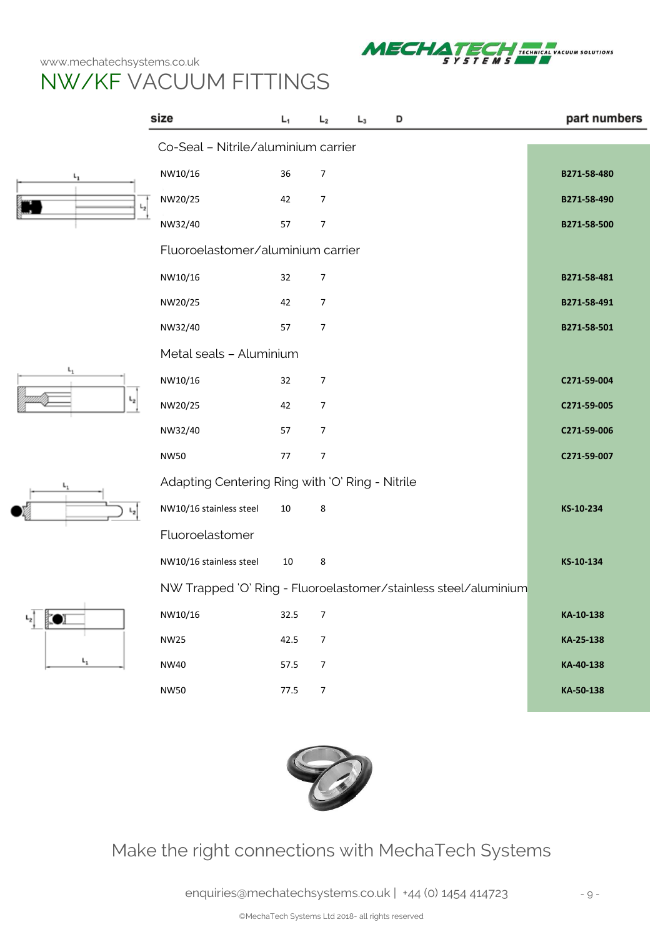

# NW/KF VACUUM FITTINGS

|                         | size                                                            | L <sub>1</sub> | L <sub>2</sub> | $L_3$ | D | part numbers |
|-------------------------|-----------------------------------------------------------------|----------------|----------------|-------|---|--------------|
|                         | Co-Seal - Nitrile/aluminium carrier                             |                |                |       |   |              |
| $\mathsf{L}_1$          | NW10/16                                                         | 36             | $\overline{7}$ |       |   | B271-58-480  |
|                         | NW20/25                                                         | 42             | 7              |       |   | B271-58-490  |
|                         | NW32/40                                                         | 57             | $\overline{7}$ |       |   | B271-58-500  |
|                         | Fluoroelastomer/aluminium carrier                               |                |                |       |   |              |
|                         | NW10/16                                                         | 32             | 7              |       |   | B271-58-481  |
|                         | NW20/25                                                         | 42             | 7              |       |   | B271-58-491  |
|                         | NW32/40                                                         | 57             | $\overline{7}$ |       |   | B271-58-501  |
|                         | Metal seals - Aluminium                                         |                |                |       |   |              |
| $L_1$<br>$\mathsf{L}_2$ | NW10/16                                                         | 32             | 7              |       |   | C271-59-004  |
|                         | NW20/25                                                         | 42             | 7              |       |   | C271-59-005  |
|                         | NW32/40                                                         | 57             | 7              |       |   | C271-59-006  |
|                         | <b>NW50</b>                                                     | 77             | $\overline{7}$ |       |   | C271-59-007  |
| ⊾                       | Adapting Centering Ring with 'O' Ring - Nitrile                 |                |                |       |   |              |
|                         | NW10/16 stainless steel                                         | 10             | 8              |       |   | KS-10-234    |
|                         | Fluoroelastomer                                                 |                |                |       |   |              |
|                         | NW10/16 stainless steel                                         | $10\,$         | 8              |       |   | KS-10-134    |
|                         | NW Trapped 'O' Ring - Fluoroelastomer/stainless steel/aluminium |                |                |       |   |              |
| $L_{2}$                 | NW10/16                                                         | 32.5           | $\overline{7}$ |       |   | KA-10-138    |
|                         | <b>NW25</b>                                                     | 42.5           | $\overline{7}$ |       |   | KA-25-138    |
| $\mathsf{L}_1$          | <b>NW40</b>                                                     | 57.5           | $\overline{7}$ |       |   | KA-40-138    |
|                         | <b>NW50</b>                                                     | 77.5           | $\overline{7}$ |       |   | KA-50-138    |
|                         |                                                                 |                |                |       |   |              |



### Make the right connections with MechaTech Systems

[enquiries@mechatechsystems.co.uk](mailto:enquiries@mechatechsystems.co.uk) | +44 (0) 1454 414723 - 9 -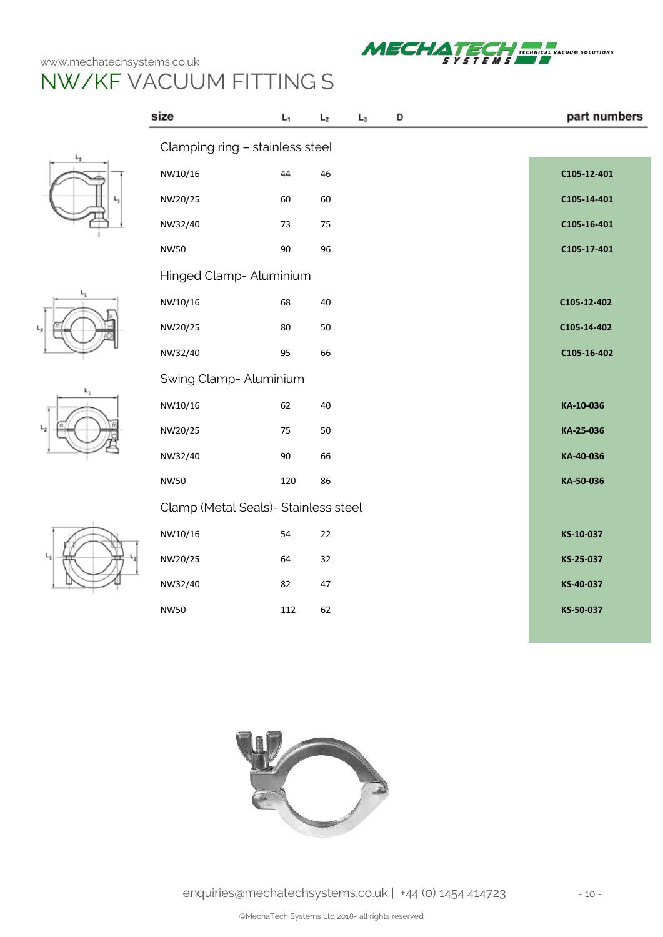







| size                                 | L <sub>1</sub> | $L_2$ | $L_3$ | D |  | part numbers |
|--------------------------------------|----------------|-------|-------|---|--|--------------|
| Clamping ring - stainless steel      |                |       |       |   |  |              |
| NW10/16                              | 44             | 46    |       |   |  | C105-12-401  |
| NW20/25                              | 60             | 60    |       |   |  | C105-14-401  |
| NW32/40                              | 73             | 75    |       |   |  | C105-16-401  |
| <b>NW50</b>                          | 90             | 96    |       |   |  | C105-17-401  |
| Hinged Clamp- Aluminium              |                |       |       |   |  |              |
| NW10/16                              | 68             | 40    |       |   |  | C105-12-402  |
| NW20/25                              | 80             | 50    |       |   |  | C105-14-402  |
| NW32/40                              | 95             | 66    |       |   |  | C105-16-402  |
| Swing Clamp- Aluminium               |                |       |       |   |  |              |
| NW10/16                              | 62             | 40    |       |   |  | KA-10-036    |
| NW20/25                              | 75             | 50    |       |   |  | KA-25-036    |
| NW32/40                              | 90             | 66    |       |   |  | KA-40-036    |
| <b>NW50</b>                          | 120            | 86    |       |   |  | KA-50-036    |
| Clamp (Metal Seals)- Stainless steel |                |       |       |   |  |              |
| NW10/16                              | 54             | 22    |       |   |  | KS-10-037    |
| NW20/25                              | 64             | 32    |       |   |  | KS-25-037    |
| NW32/40                              | 82             | 47    |       |   |  | KS-40-037    |
| <b>NW50</b>                          | 112            | 62    |       |   |  | KS-50-037    |

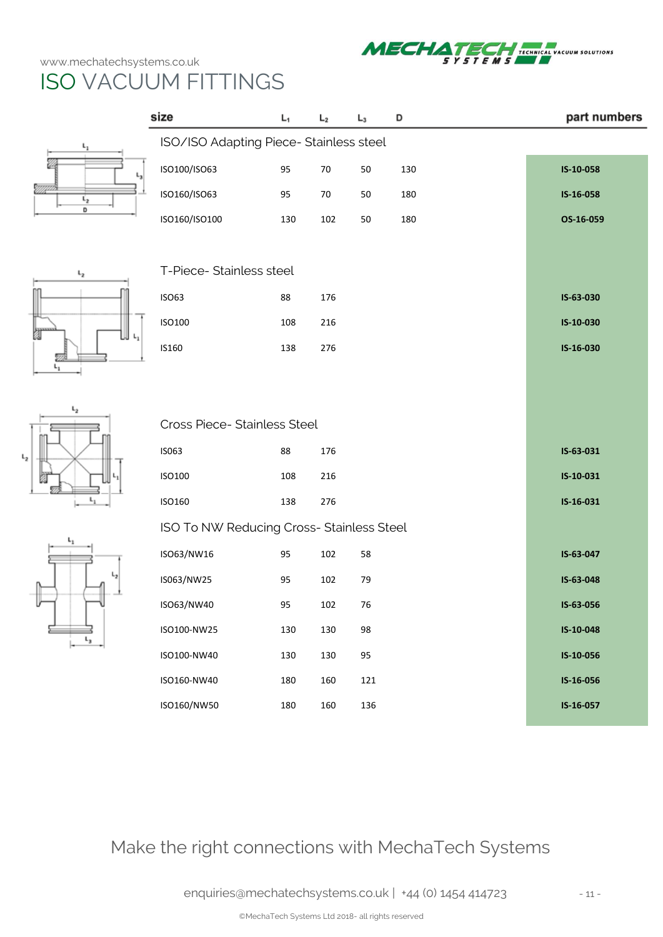$L_2$ 



|                             | size                                      | $L_1$ | L <sub>2</sub> | $L_3$ | D   | part numbers |
|-----------------------------|-------------------------------------------|-------|----------------|-------|-----|--------------|
| ι,                          | ISO/ISO Adapting Piece- Stainless steel   |       |                |       |     |              |
|                             | ISO100/ISO63                              | 95    | $70\,$         | 50    | 130 | IS-10-058    |
| mm<br>$\mathfrak{c}_2$<br>D | ISO160/ISO63                              | 95    | 70             | 50    | 180 | IS-16-058    |
|                             | ISO160/ISO100                             | 130   | 102            | 50    | 180 | OS-16-059    |
|                             |                                           |       |                |       |     |              |
| $L_{2}$                     | T-Piece- Stainless steel                  |       |                |       |     |              |
|                             | <b>ISO63</b>                              | 88    | 176            |       |     | IS-63-030    |
| ł<br>L.                     | ISO100                                    | 108   | 216            |       |     | IS-10-030    |
|                             | IS160                                     | 138   | 276            |       |     | IS-16-030    |
|                             |                                           |       |                |       |     |              |
| ι,                          |                                           |       |                |       |     |              |
|                             | Cross Piece- Stainless Steel              |       |                |       |     |              |
|                             | IS063                                     | 88    | 176            |       |     | IS-63-031    |
|                             | ISO100                                    | 108   | 216            |       |     | IS-10-031    |
|                             | ISO160                                    | 138   | 276            |       |     | IS-16-031    |
|                             | ISO To NW Reducing Cross- Stainless Steel |       |                |       |     |              |
|                             | ISO63/NW16                                | 95    | 102            | 58    |     | IS-63-047    |
|                             | IS063/NW25                                | 95    | 102            | 79    |     | IS-63-048    |
|                             | ISO63/NW40                                | 95    | 102            | 76    |     | IS-63-056    |
| ι,                          | ISO100-NW25                               | 130   | 130            | 98    |     | IS-10-048    |
|                             | ISO100-NW40                               | 130   | 130            | 95    |     | IS-10-056    |
|                             | ISO160-NW40                               | 180   | 160            | 121   |     | IS-16-056    |
|                             | ISO160/NW50                               | 180   | 160            | 136   |     | IS-16-057    |

Make the right connections with MechaTech Systems

[enquiries@mechatechsystems.co.uk](mailto:enquiries@mechatechsystems.co.uk) | +44 (0) 1454 414723 - 11 -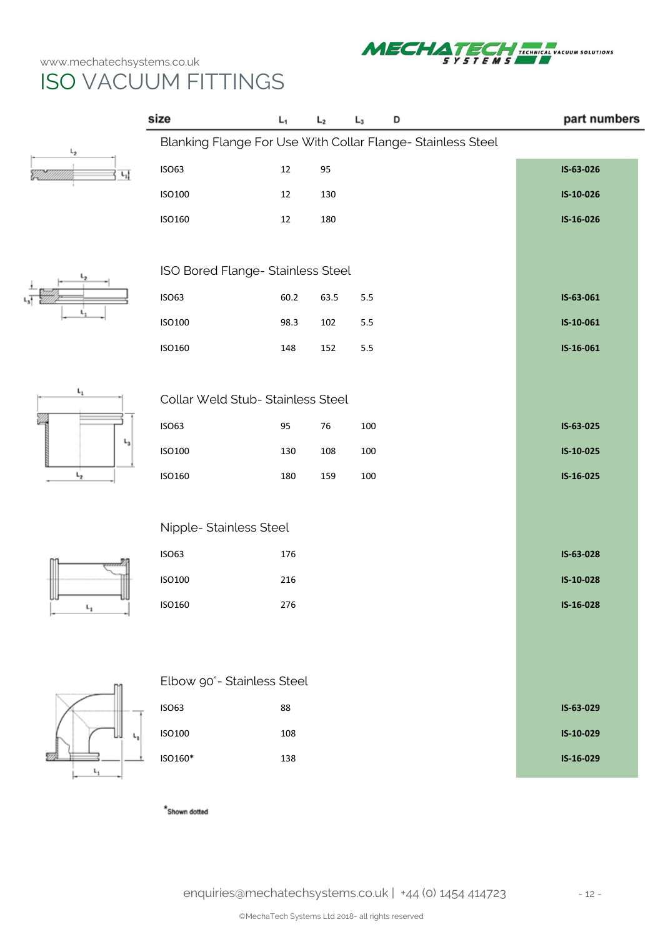

|                     | size                              | $L_1$                                                      | L <sub>2</sub> | $L_3$   | D |  | part numbers |  |  |  |
|---------------------|-----------------------------------|------------------------------------------------------------|----------------|---------|---|--|--------------|--|--|--|
| L <sub>2</sub>      |                                   | Blanking Flange For Use With Collar Flange-Stainless Steel |                |         |   |  |              |  |  |  |
| $L_1$               | <b>ISO63</b>                      | 12                                                         | 95             |         |   |  | IS-63-026    |  |  |  |
|                     | <b>ISO100</b>                     | 12                                                         | 130            |         |   |  | IS-10-026    |  |  |  |
|                     | <b>ISO160</b>                     | 12                                                         | 180            |         |   |  | IS-16-026    |  |  |  |
|                     |                                   |                                                            |                |         |   |  |              |  |  |  |
|                     |                                   | ISO Bored Flange- Stainless Steel                          |                |         |   |  |              |  |  |  |
|                     | <b>ISO63</b>                      | 60.2                                                       | 63.5           | $5.5\,$ |   |  | IS-63-061    |  |  |  |
|                     | ISO100                            | 98.3                                                       | 102            | 5.5     |   |  | IS-10-061    |  |  |  |
|                     | ISO160                            | 148                                                        | 152            | 5.5     |   |  | IS-16-061    |  |  |  |
| $\mathsf{L}_1$      |                                   |                                                            |                |         |   |  |              |  |  |  |
|                     | Collar Weld Stub- Stainless Steel |                                                            |                |         |   |  |              |  |  |  |
|                     | <b>ISO63</b>                      | 95                                                         | 76             | 100     |   |  | IS-63-025    |  |  |  |
| ι,                  | ISO100                            | 130                                                        | 108            | 100     |   |  | IS-10-025    |  |  |  |
| $L_{2}$             | ISO160                            | 180                                                        | 159            | 100     |   |  | IS-16-025    |  |  |  |
|                     |                                   |                                                            |                |         |   |  |              |  |  |  |
|                     | Nipple- Stainless Steel           |                                                            |                |         |   |  |              |  |  |  |
|                     | <b>ISO63</b>                      | 176                                                        |                |         |   |  | IS-63-028    |  |  |  |
|                     | <b>ISO100</b>                     | 216                                                        |                |         |   |  | IS-10-028    |  |  |  |
| $\mathsf{L}_1$<br>r | ISO160                            | 276                                                        |                |         |   |  | IS-16-028    |  |  |  |
|                     |                                   |                                                            |                |         |   |  |              |  |  |  |
|                     |                                   |                                                            |                |         |   |  |              |  |  |  |
|                     | Elbow 90°- Stainless Steel        |                                                            |                |         |   |  |              |  |  |  |
|                     | <b>ISO63</b>                      | 88                                                         |                |         |   |  | IS-63-029    |  |  |  |
| ι,                  | <b>ISO100</b>                     | 108                                                        |                |         |   |  | IS-10-029    |  |  |  |
|                     | ISO160*                           | 138                                                        |                |         |   |  | IS-16-029    |  |  |  |
|                     |                                   |                                                            |                |         |   |  |              |  |  |  |

 $\displaystyle{{}^{\star}}$  Shown dotted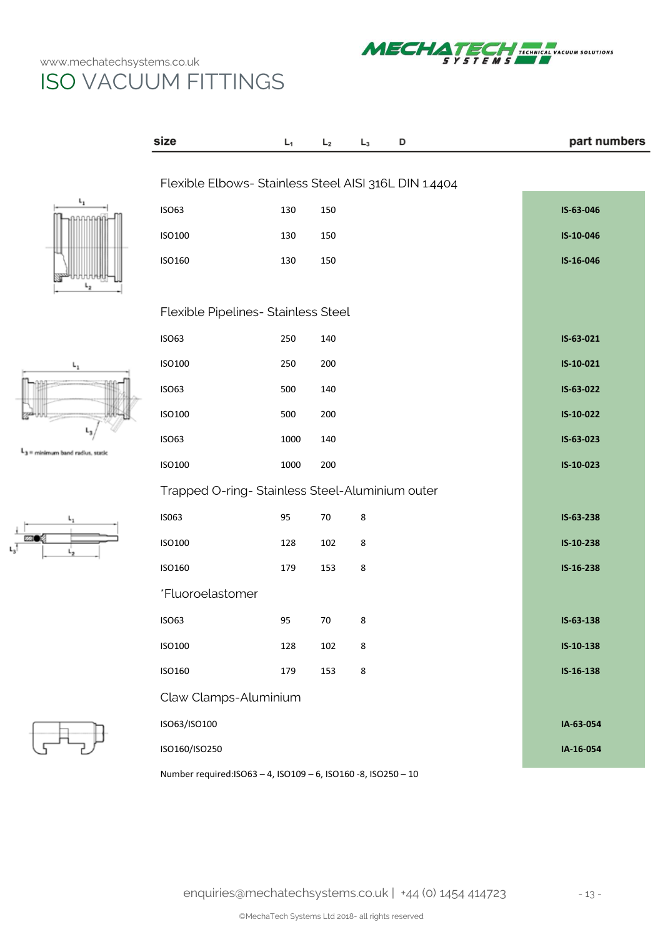

L,









| size                                                  | L <sub>1</sub> | L <sub>2</sub> | $L_3$ | D | part numbers |
|-------------------------------------------------------|----------------|----------------|-------|---|--------------|
| Flexible Elbows- Stainless Steel AISI 316L DIN 1.4404 |                |                |       |   |              |
|                                                       |                |                |       |   |              |
| <b>ISO63</b>                                          | 130            | 150            |       |   | IS-63-046    |
| <b>ISO100</b>                                         | 130            | 150            |       |   | IS-10-046    |
| <b>ISO160</b>                                         | 130            | 150            |       |   | IS-16-046    |
|                                                       |                |                |       |   |              |
| Flexible Pipelines- Stainless Steel                   |                |                |       |   |              |
| <b>ISO63</b>                                          | 250            | 140            |       |   | IS-63-021    |
| ISO100                                                | 250            | 200            |       |   | IS-10-021    |
| <b>ISO63</b>                                          | 500            | 140            |       |   | IS-63-022    |
| <b>ISO100</b>                                         | 500            | 200            |       |   | IS-10-022    |
| <b>ISO63</b>                                          | 1000           | 140            |       |   | IS-63-023    |
| ISO100                                                | 1000           | 200            |       |   | IS-10-023    |
| Trapped O-ring- Stainless Steel-Aluminium outer       |                |                |       |   |              |
| IS063                                                 | 95             | $70\,$         | 8     |   | IS-63-238    |
| ISO100                                                | 128            | 102            | 8     |   | IS-10-238    |
| <b>ISO160</b>                                         | 179            | 153            | 8     |   | IS-16-238    |
| *Fluoroelastomer                                      |                |                |       |   |              |
| <b>ISO63</b>                                          | 95             | 70             | 8     |   | $IS-63-138$  |
| <b>ISO100</b>                                         | 128            | 102            | 8     |   | IS-10-138    |
| <b>ISO160</b>                                         | 179            | 153            | 8     |   | IS-16-138    |
| Claw Clamps-Aluminium                                 |                |                |       |   |              |
| ISO63/ISO100                                          |                |                |       |   | IA-63-054    |
| ISO160/ISO250                                         |                |                |       |   | IA-16-054    |
|                                                       |                |                |       |   |              |

Number required:ISO63 – 4, ISO109 – 6, ISO160 -8, ISO250 – 10

[enquiries@mechatechsystems.co.uk](mailto:enquiries@mechatechsystems.co.uk) | +44 (0) 1454 414723 - 13 -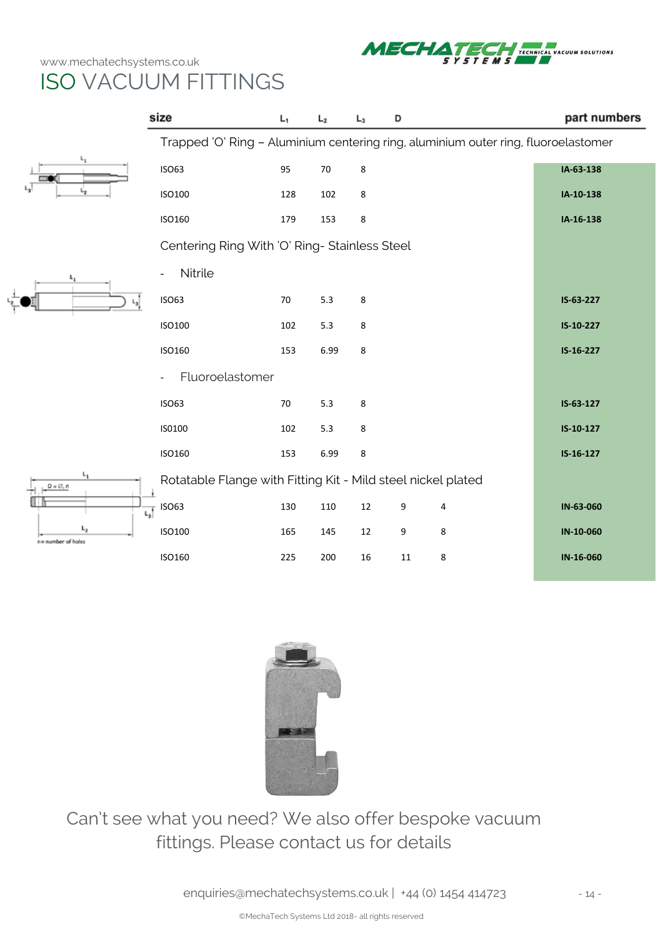

|                                                       | size                                                                               | L <sub>1</sub> | L <sub>2</sub> | $L_3$  | D  |   | part numbers |
|-------------------------------------------------------|------------------------------------------------------------------------------------|----------------|----------------|--------|----|---|--------------|
|                                                       | Trapped 'O' Ring - Aluminium centering ring, aluminium outer ring, fluoroelastomer |                |                |        |    |   |              |
| ъ,<br><b>660 M</b>                                    | <b>ISO63</b>                                                                       | 95             | 70             | 8      |    |   | IA-63-138    |
|                                                       | <b>ISO100</b>                                                                      | 128            | 102            | 8      |    |   | IA-10-138    |
|                                                       | <b>ISO160</b>                                                                      | 179            | 153            | 8      |    |   | IA-16-138    |
|                                                       | Centering Ring With 'O' Ring- Stainless Steel                                      |                |                |        |    |   |              |
|                                                       | Nitrile                                                                            |                |                |        |    |   |              |
|                                                       | <b>ISO63</b>                                                                       | $70\,$         | 5.3            | 8      |    |   | IS-63-227    |
|                                                       | ISO100                                                                             | 102            | 5.3            | 8      |    |   | IS-10-227    |
|                                                       | ISO160                                                                             | 153            | 6.99           | 8      |    |   | IS-16-227    |
|                                                       | Fluoroelastomer                                                                    |                |                |        |    |   |              |
|                                                       | <b>ISO63</b>                                                                       | $70\,$         | 5.3            | 8      |    |   | IS-63-127    |
|                                                       | IS0100                                                                             | 102            | 5.3            | 8      |    |   | IS-10-127    |
|                                                       | ISO160                                                                             | 153            | 6.99           | 8      |    |   | $IS-16-127$  |
| ι,<br>$D = \emptyset$ , n<br>ι,<br>n= number of holes | Rotatable Flange with Fitting Kit - Mild steel nickel plated                       |                |                |        |    |   |              |
|                                                       | $\sqrt[n-1]{\frac{1}{\left \mathbf{L}_3\right }}$ ISO63                            | 130            | 110            | $12\,$ | 9  | 4 | IN-63-060    |
|                                                       | ISO100                                                                             | 165            | 145            | 12     | 9  | 8 | IN-10-060    |
|                                                       | ISO160                                                                             | 225            | 200            | 16     | 11 | 8 | IN-16-060    |



Can't see what you need? We also offer bespoke vacuum fittings. Please contact us for details

[enquiries@mechatechsystems.co.uk](mailto:enquiries@mechatechsystems.co.uk) | +44 (0) 1454 414723 - 14 -